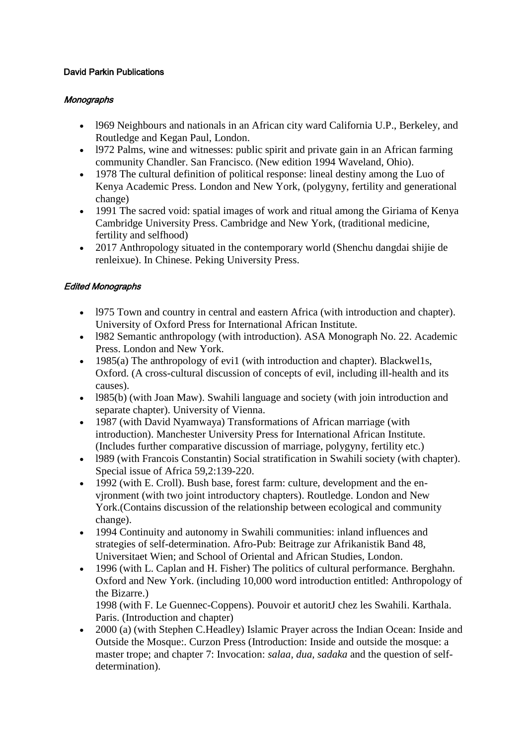## David Parkin Publications

## **Monographs**

- l969 Neighbours and nationals in an African city ward California U.P., Berkeley, and Routledge and Kegan Paul, London.
- l972 Palms, wine and witnesses: public spirit and private gain in an African farming community Chandler. San Francisco. (New edition 1994 Waveland, Ohio).
- 1978 The cultural definition of political response: lineal destiny among the Luo of Kenya Academic Press. London and New York, (polygyny, fertility and generational change)
- 1991 The sacred void: spatial images of work and ritual among the Giriama of Kenya Cambridge University Press. Cambridge and New York, (traditional medicine, fertility and selfhood)
- 2017 Anthropology situated in the contemporary world (Shenchu dangdai shijie de renleixue). In Chinese. Peking University Press.

## Edited Monographs

- l975 Town and country in central and eastern Africa (with introduction and chapter). University of Oxford Press for International African Institute.
- 1982 Semantic anthropology (with introduction). ASA Monograph No. 22. Academic Press. London and New York.
- 1985(a) The anthropology of evi1 (with introduction and chapter). Blackwells, Oxford. (A cross-cultural discussion of concepts of evil, including ill-health and its causes).
- 1985(b) (with Joan Maw). Swahili language and society (with join introduction and separate chapter). University of Vienna.
- 1987 (with David Nyamwaya) Transformations of African marriage (with introduction). Manchester University Press for International African Institute. (Includes further comparative discussion of marriage, polygyny, fertility etc.)
- l989 (with Francois Constantin) Social stratification in Swahili society (with chapter). Special issue of Africa 59,2:139-220.
- 1992 (with E. Croll). Bush base, forest farm: culture, development and the envjronment (with two joint introductory chapters). Routledge. London and New York.(Contains discussion of the relationship between ecological and community change).
- 1994 Continuity and autonomy in Swahili communities: inland influences and strategies of self-determination. Afro-Pub: Beitrage zur Afrikanistik Band 48, Universitaet Wien; and School of Oriental and African Studies, London.
- 1996 (with L. Caplan and H. Fisher) The politics of cultural performance. Berghahn. Oxford and New York. (including 10,000 word introduction entitled: Anthropology of the Bizarre.)

1998 (with F. Le Guennec-Coppens). Pouvoir et autoritJ chez les Swahili. Karthala. Paris. (Introduction and chapter)

• 2000 (a) (with Stephen C.Headley) Islamic Prayer across the Indian Ocean: Inside and Outside the Mosque:. Curzon Press (Introduction: Inside and outside the mosque: a master trope; and chapter 7: Invocation: *salaa, dua, sadaka* and the question of selfdetermination).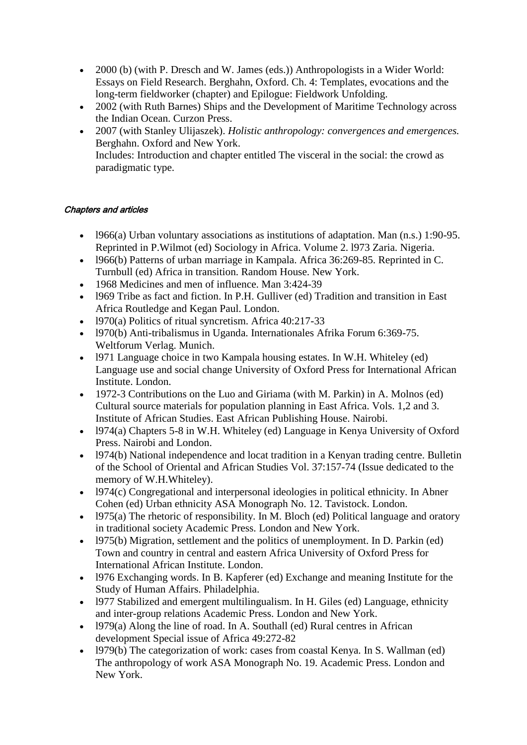- 2000 (b) (with P. Dresch and W. James (eds.)) Anthropologists in a Wider World: Essays on Field Research. Berghahn, Oxford. Ch. 4: Templates, evocations and the long-term fieldworker (chapter) and Epilogue: Fieldwork Unfolding.
- 2002 (with Ruth Barnes) Ships and the Development of Maritime Technology across the Indian Ocean. Curzon Press.
- 2007 (with Stanley Ulijaszek). *Holistic anthropology: convergences and emergences.*  Berghahn. Oxford and New York. Includes: Introduction and chapter entitled The visceral in the social: the crowd as paradigmatic type.

## Chapters and articles

- l966(a) Urban voluntary associations as institutions of adaptation. Man (n.s.) 1:90-95. Reprinted in P.Wilmot (ed) Sociology in Africa. Volume 2. l973 Zaria. Nigeria.
- l966(b) Patterns of urban marriage in Kampala. Africa 36:269-85. Reprinted in C. Turnbull (ed) Africa in transition. Random House. New York.
- 1968 Medicines and men of influence. Man 3:424-39
- l969 Tribe as fact and fiction. In P.H. Gulliver (ed) Tradition and transition in East Africa Routledge and Kegan Paul. London.
- 1970(a) Politics of ritual syncretism. Africa  $40:217-33$
- l970(b) Anti-tribalismus in Uganda. Internationales Afrika Forum 6:369-75. Weltforum Verlag. Munich.
- l971 Language choice in two Kampala housing estates. In W.H. Whiteley (ed) Language use and social change University of Oxford Press for International African Institute. London.
- 1972-3 Contributions on the Luo and Giriama (with M. Parkin) in A. Molnos (ed) Cultural source materials for population planning in East Africa. Vols. 1,2 and 3. Institute of African Studies. East African Publishing House. Nairobi.
- l974(a) Chapters 5-8 in W.H. Whiteley (ed) Language in Kenya University of Oxford Press. Nairobi and London.
- l974(b) National independence and locat tradition in a Kenyan trading centre. Bulletin of the School of Oriental and African Studies Vol. 37:157-74 (Issue dedicated to the memory of W.H.Whiteley).
- l974(c) Congregational and interpersonal ideologies in political ethnicity. In Abner Cohen (ed) Urban ethnicity ASA Monograph No. 12. Tavistock. London.
- 1975(a) The rhetoric of responsibility. In M. Bloch (ed) Political language and oratory in traditional society Academic Press. London and New York.
- l975(b) Migration, settlement and the politics of unemployment. In D. Parkin (ed) Town and country in central and eastern Africa University of Oxford Press for International African Institute. London.
- l976 Exchanging words. In B. Kapferer (ed) Exchange and meaning Institute for the Study of Human Affairs. Philadelphia.
- l977 Stabilized and emergent multilingualism. In H. Giles (ed) Language, ethnicity and inter-group relations Academic Press. London and New York.
- $\bullet$  1979(a) Along the line of road. In A. Southall (ed) Rural centres in African development Special issue of Africa 49:272-82
- 1979 $(b)$  The categorization of work: cases from coastal Kenya. In S. Wallman (ed) The anthropology of work ASA Monograph No. 19. Academic Press. London and New York.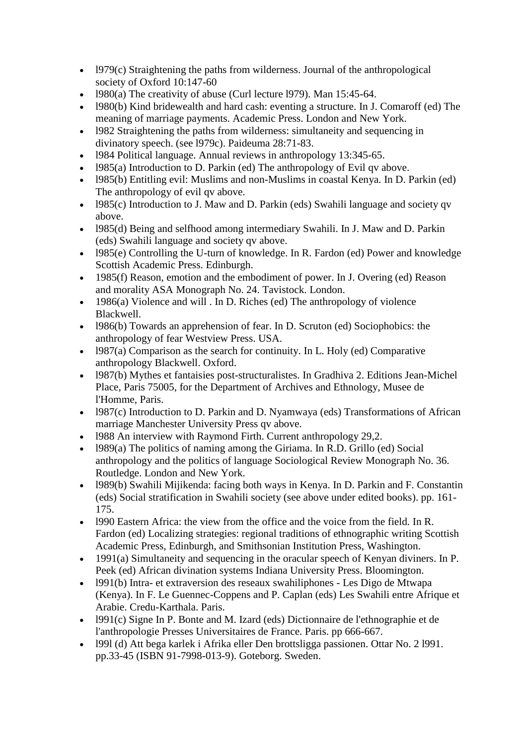- $\bullet$  1979(c) Straightening the paths from wilderness. Journal of the anthropological society of Oxford 10:147-60
- 1980(a) The creativity of abuse (Curl lecture 1979). Man  $15:45-64$ .
- l980(b) Kind bridewealth and hard cash: eventing a structure. In J. Comaroff (ed) The meaning of marriage payments. Academic Press. London and New York.
- l982 Straightening the paths from wilderness: simultaneity and sequencing in divinatory speech. (see l979c). Paideuma 28:71-83.
- l984 Political language. Annual reviews in anthropology 13:345-65.
- 1985(a) Introduction to D. Parkin (ed) The anthropology of Evil qv above.
- l985(b) Entitling evil: Muslims and non-Muslims in coastal Kenya. In D. Parkin (ed) The anthropology of evil qv above.
- l985(c) Introduction to J. Maw and D. Parkin (eds) Swahili language and society qv above.
- l985(d) Being and selfhood among intermediary Swahili. In J. Maw and D. Parkin (eds) Swahili language and society qv above.
- l985(e) Controlling the U-turn of knowledge. In R. Fardon (ed) Power and knowledge Scottish Academic Press. Edinburgh.
- 1985(f) Reason, emotion and the embodiment of power. In J. Overing (ed) Reason and morality ASA Monograph No. 24. Tavistock. London.
- $\bullet$  1986(a) Violence and will . In D. Riches (ed) The anthropology of violence Blackwell.
- l986(b) Towards an apprehension of fear. In D. Scruton (ed) Sociophobics: the anthropology of fear Westview Press. USA.
- $\bullet$  1987(a) Comparison as the search for continuity. In L. Holy (ed) Comparative anthropology Blackwell. Oxford.
- l987(b) Mythes et fantaisies post-structuralistes. In Gradhiva 2. Editions Jean-Michel Place, Paris 75005, for the Department of Archives and Ethnology, Musee de l'Homme, Paris.
- l987(c) Introduction to D. Parkin and D. Nyamwaya (eds) Transformations of African marriage Manchester University Press qv above.
- 1988 An interview with Raymond Firth. Current anthropology 29.2.
- l989(a) The politics of naming among the Giriama. In R.D. Grillo (ed) Social anthropology and the politics of language Sociological Review Monograph No. 36. Routledge. London and New York.
- l989(b) Swahili Mijikenda: facing both ways in Kenya. In D. Parkin and F. Constantin (eds) Social stratification in Swahili society (see above under edited books). pp. 161- 175.
- l990 Eastern Africa: the view from the office and the voice from the field. In R. Fardon (ed) Localizing strategies: regional traditions of ethnographic writing Scottish Academic Press, Edinburgh, and Smithsonian Institution Press, Washington.
- 1991(a) Simultaneity and sequencing in the oracular speech of Kenyan diviners. In P. Peek (ed) African divination systems Indiana University Press. Bloomington.
- l991(b) Intra- et extraversion des reseaux swahiliphones Les Digo de Mtwapa (Kenya). In F. Le Guennec-Coppens and P. Caplan (eds) Les Swahili entre Afrique et Arabie. Credu-Karthala. Paris.
- l991(c) Signe In P. Bonte and M. Izard (eds) Dictionnaire de l'ethnographie et de l'anthropologie Presses Universitaires de France. Paris. pp 666-667.
- l99l (d) Att bega karlek i Afrika eller Den brottsligga passionen. Ottar No. 2 l991. pp.33-45 (ISBN 91-7998-013-9). Goteborg. Sweden.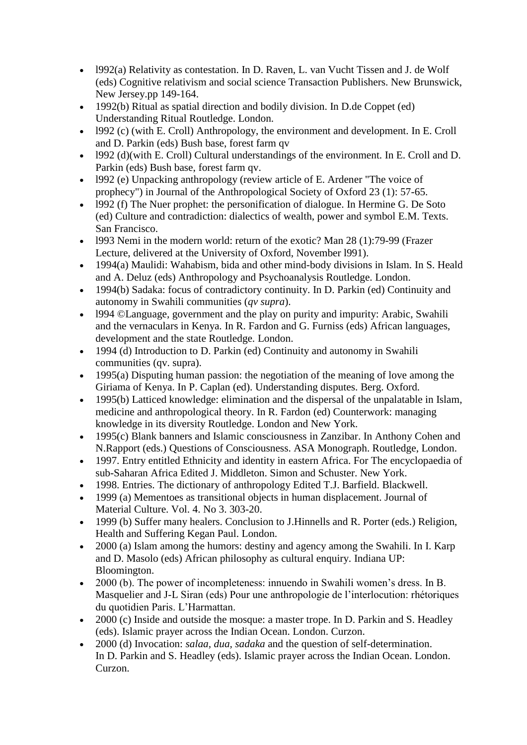- l992(a) Relativity as contestation. In D. Raven, L. van Vucht Tissen and J. de Wolf (eds) Cognitive relativism and social science Transaction Publishers. New Brunswick, New Jersey.pp 149-164.
- 1992(b) Ritual as spatial direction and bodily division. In D.de Coppet (ed) Understanding Ritual Routledge. London.
- l992 (c) (with E. Croll) Anthropology, the environment and development. In E. Croll and D. Parkin (eds) Bush base, forest farm qv
- l992 (d)(with E. Croll) Cultural understandings of the environment. In E. Croll and D. Parkin (eds) Bush base, forest farm qv.
- l992 (e) Unpacking anthropology (review article of E. Ardener "The voice of prophecy") in Journal of the Anthropological Society of Oxford 23 (1): 57-65.
- $\bullet$  1992 (f) The Nuer prophet: the personification of dialogue. In Hermine G. De Soto (ed) Culture and contradiction: dialectics of wealth, power and symbol E.M. Texts. San Francisco.
- l993 Nemi in the modern world: return of the exotic? Man 28 (1):79-99 (Frazer Lecture, delivered at the University of Oxford, November l991).
- 1994(a) Maulidi: Wahabism, bida and other mind-body divisions in Islam. In S. Heald and A. Deluz (eds) Anthropology and Psychoanalysis Routledge. London.
- 1994(b) Sadaka: focus of contradictory continuity. In D. Parkin (ed) Continuity and autonomy in Swahili communities (*qv supra*).
- l994 ©Language, government and the play on purity and impurity: Arabic, Swahili and the vernaculars in Kenya. In R. Fardon and G. Furniss (eds) African languages, development and the state Routledge. London.
- 1994 (d) Introduction to D. Parkin (ed) Continuity and autonomy in Swahili communities (qv. supra).
- 1995(a) Disputing human passion: the negotiation of the meaning of love among the Giriama of Kenya. In P. Caplan (ed). Understanding disputes. Berg. Oxford.
- 1995(b) Latticed knowledge: elimination and the dispersal of the unpalatable in Islam, medicine and anthropological theory. In R. Fardon (ed) Counterwork: managing knowledge in its diversity Routledge. London and New York.
- 1995(c) Blank banners and Islamic consciousness in Zanzibar. In Anthony Cohen and N.Rapport (eds.) Questions of Consciousness. ASA Monograph. Routledge, London.
- 1997. Entry entitled Ethnicity and identity in eastern Africa. For The encyclopaedia of sub-Saharan Africa Edited J. Middleton. Simon and Schuster. New York.
- 1998. Entries. The dictionary of anthropology Edited T.J. Barfield. Blackwell.
- 1999 (a) Mementoes as transitional objects in human displacement. Journal of Material Culture. Vol. 4. No 3. 303-20.
- 1999 (b) Suffer many healers. Conclusion to J.Hinnells and R. Porter (eds.) Religion, Health and Suffering Kegan Paul. London.
- 2000 (a) Islam among the humors: destiny and agency among the Swahili. In I. Karp and D. Masolo (eds) African philosophy as cultural enquiry. Indiana UP: Bloomington.
- 2000 (b). The power of incompleteness: innuendo in Swahili women's dress. In B. Masquelier and J-L Siran (eds) Pour une anthropologie de l'interlocution: rhétoriques du quotidien Paris. L'Harmattan.
- 2000 (c) Inside and outside the mosque: a master trope. In D. Parkin and S. Headley (eds). Islamic prayer across the Indian Ocean. London. Curzon.
- 2000 (d) Invocation: *salaa, dua, sadaka* and the question of self-determination. In D. Parkin and S. Headley (eds). Islamic prayer across the Indian Ocean. London. Curzon.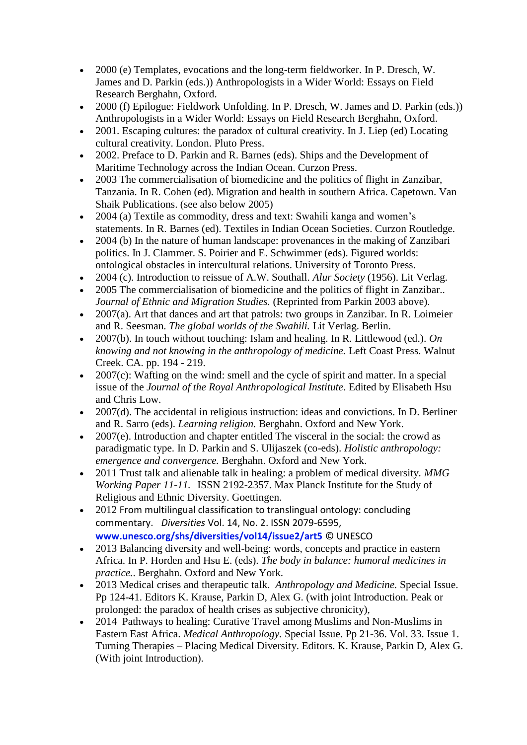- 2000 (e) Templates, evocations and the long-term fieldworker. In P. Dresch, W. James and D. Parkin (eds.)) Anthropologists in a Wider World: Essays on Field Research Berghahn, Oxford.
- 2000 (f) Epilogue: Fieldwork Unfolding. In P. Dresch, W. James and D. Parkin (eds.)) Anthropologists in a Wider World: Essays on Field Research Berghahn, Oxford.
- 2001. Escaping cultures: the paradox of cultural creativity. In J. Liep (ed) Locating cultural creativity. London. Pluto Press.
- 2002. Preface to D. Parkin and R. Barnes (eds). Ships and the Development of Maritime Technology across the Indian Ocean. Curzon Press.
- 2003 The commercialisation of biomedicine and the politics of flight in Zanzibar, Tanzania. In R. Cohen (ed). Migration and health in southern Africa. Capetown. Van Shaik Publications. (see also below 2005)
- 2004 (a) Textile as commodity, dress and text: Swahili kanga and women's statements. In R. Barnes (ed). Textiles in Indian Ocean Societies. Curzon Routledge.
- 2004 (b) In the nature of human landscape: provenances in the making of Zanzibari politics. In J. Clammer. S. Poirier and E. Schwimmer (eds). Figured worlds: ontological obstacles in intercultural relations. University of Toronto Press.
- 2004 (c). Introduction to reissue of A.W. Southall. *Alur Society* (1956). Lit Verlag.
- 2005 The commercialisation of biomedicine and the politics of flight in Zanzibar.. *Journal of Ethnic and Migration Studies.* (Reprinted from Parkin 2003 above).
- 2007(a). Art that dances and art that patrols: two groups in Zanzibar. In R. Loimeier and R. Seesman. *The global worlds of the Swahili.* Lit Verlag. Berlin.
- 2007(b). In touch without touching: Islam and healing. In R. Littlewood (ed.). *On knowing and not knowing in the anthropology of medicine.* Left Coast Press. Walnut Creek. CA. pp. 194 - 219.
- $\bullet$  2007(c): Wafting on the wind: smell and the cycle of spirit and matter. In a special issue of the *Journal of the Royal Anthropological Institute*. Edited by Elisabeth Hsu and Chris Low.
- 2007(d). The accidental in religious instruction: ideas and convictions. In D. Berliner and R. Sarro (eds). *Learning religion.* Berghahn. Oxford and New York.
- 2007(e). Introduction and chapter entitled The visceral in the social: the crowd as paradigmatic type. In D. Parkin and S. Ulijaszek (co-eds). *Holistic anthropology: emergence and convergence.* Berghahn. Oxford and New York.
- 2011 Trust talk and alienable talk in healing: a problem of medical diversity. *MMG Working Paper 11-11.* ISSN 2192-2357. Max Planck Institute for the Study of Religious and Ethnic Diversity. Goettingen.
- 2012 From multilingual classification to translingual ontology: concluding commentary.1 *Diversities* Vol. 14, No. 2. ISSN 2079-6595, **www.unesco.org/shs/diversities/vol14/issue2/art5** © UNESCO
- 2013 Balancing diversity and well-being: words, concepts and practice in eastern Africa. In P. Horden and Hsu E. (eds). *The body in balance: humoral medicines in practice.*. Berghahn. Oxford and New York.
- 2013 Medical crises and therapeutic talk. *Anthropology and Medicine.* Special Issue. Pp 124-41. Editors K. Krause, Parkin D, Alex G. (with joint Introduction. Peak or prolonged: the paradox of health crises as subjective chronicity),
- 2014 Pathways to healing: Curative Travel among Muslims and Non-Muslims in Eastern East Africa. *Medical Anthropology.* Special Issue. Pp 21-36. Vol. 33. Issue 1. Turning Therapies – Placing Medical Diversity. Editors. K. Krause, Parkin D, Alex G. (With joint Introduction).